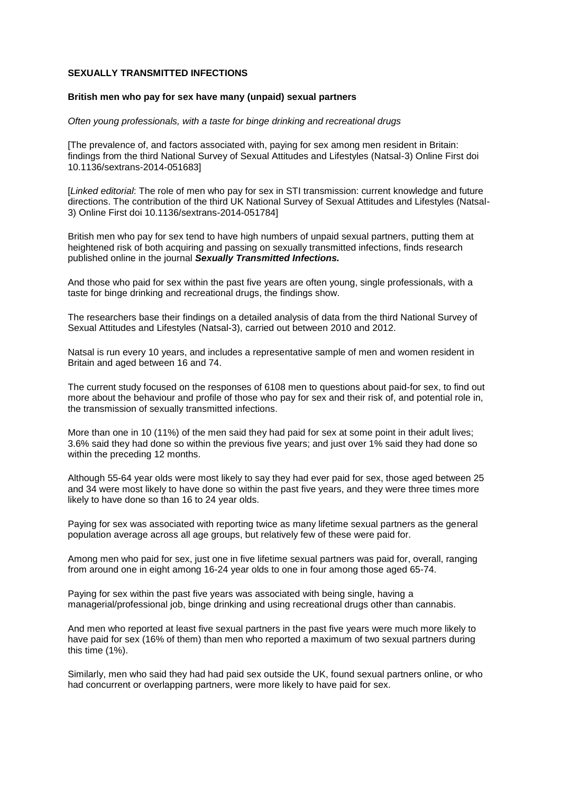## **SEXUALLY TRANSMITTED INFECTIONS**

## **British men who pay for sex have many (unpaid) sexual partners**

#### *Often young professionals, with a taste for binge drinking and recreational drugs*

[The prevalence of, and factors associated with, paying for sex among men resident in Britain: findings from the third National Survey of Sexual Attitudes and Lifestyles (Natsal-3) Online First doi 10.1136/sextrans-2014-051683]

[*Linked editorial*: The role of men who pay for sex in STI transmission: current knowledge and future directions. The contribution of the third UK National Survey of Sexual Attitudes and Lifestyles (Natsal-3) Online First doi 10.1136/sextrans-2014-051784]

British men who pay for sex tend to have high numbers of unpaid sexual partners, putting them at heightened risk of both acquiring and passing on sexually transmitted infections, finds research published online in the journal *Sexually Transmitted Infections.*

And those who paid for sex within the past five years are often young, single professionals, with a taste for binge drinking and recreational drugs, the findings show.

The researchers base their findings on a detailed analysis of data from the third National Survey of Sexual Attitudes and Lifestyles (Natsal-3), carried out between 2010 and 2012.

Natsal is run every 10 years, and includes a representative sample of men and women resident in Britain and aged between 16 and 74.

The current study focused on the responses of 6108 men to questions about paid-for sex, to find out more about the behaviour and profile of those who pay for sex and their risk of, and potential role in, the transmission of sexually transmitted infections.

More than one in 10 (11%) of the men said they had paid for sex at some point in their adult lives; 3.6% said they had done so within the previous five years; and just over 1% said they had done so within the preceding 12 months.

Although 55-64 year olds were most likely to say they had ever paid for sex, those aged between 25 and 34 were most likely to have done so within the past five years, and they were three times more likely to have done so than 16 to 24 year olds.

Paying for sex was associated with reporting twice as many lifetime sexual partners as the general population average across all age groups, but relatively few of these were paid for.

Among men who paid for sex, just one in five lifetime sexual partners was paid for, overall, ranging from around one in eight among 16-24 year olds to one in four among those aged 65-74.

Paying for sex within the past five years was associated with being single, having a managerial/professional job, binge drinking and using recreational drugs other than cannabis.

And men who reported at least five sexual partners in the past five years were much more likely to have paid for sex (16% of them) than men who reported a maximum of two sexual partners during this time (1%).

Similarly, men who said they had had paid sex outside the UK, found sexual partners online, or who had concurrent or overlapping partners, were more likely to have paid for sex.